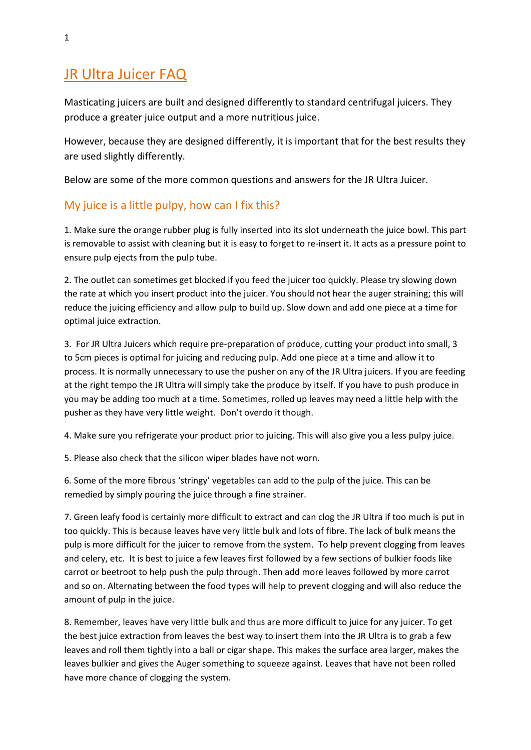# JR Ultra Juicer FAQ

Masticating juicers are built and designed differently to standard centrifugal juicers. They produce a greater juice output and a more nutritious juice.

However, because they are designed differently, it is important that for the best results they are used slightly differently.

Below are some of the more common questions and answers for the JR Ultra Juicer.

## My juice is a little pulpy, how can I fix this?

1. Make sure the orange rubber plug is fully inserted into its slot underneath the juice bowl. This part is removable to assist with cleaning but it is easy to forget to re-insert it. It acts as a pressure point to ensure pulp ejects from the pulp tube.

2. The outlet can sometimes get blocked if you feed the juicer too quickly. Please try slowing down the rate at which you insert product into the juicer. You should not hear the auger straining; this will reduce the juicing efficiency and allow pulp to build up. Slow down and add one piece at a time for optimal juice extraction.

3. For JR Ultra Juicers which require pre-preparation of produce, cutting your product into small, 3 to 5cm pieces is optimal for juicing and reducing pulp. Add one piece at a time and allow it to process. It is normally unnecessary to use the pusher on any of the JR Ultra juicers. If you are feeding at the right tempo the JR Ultra will simply take the produce by itself. If you have to push produce in you may be adding too much at a time. Sometimes, rolled up leaves may need a little help with the pusher as they have very little weight. Don't overdo it though.

4. Make sure you refrigerate your product prior to juicing. This will also give you a less pulpy juice.

5. Please also check that the silicon wiper blades have not worn.

6. Some of the more fibrous 'stringy' vegetables can add to the pulp of the juice. This can be remedied by simply pouring the juice through a fine strainer.

7. Green leafy food is certainly more difficult to extract and can clog the JR Ultra if too much is put in too quickly. This is because leaves have very little bulk and lots of fibre. The lack of bulk means the pulp is more difficult for the juicer to remove from the system. To help prevent clogging from leaves and celery, etc. It is best to juice a few leaves first followed by a few sections of bulkier foods like carrot or beetroot to help push the pulp through. Then add more leaves followed by more carrot and so on. Alternating between the food types will help to prevent clogging and will also reduce the amount of pulp in the juice.

8. Remember, leaves have very little bulk and thus are more difficult to juice for any juicer. To get the best juice extraction from leaves the best way to insert them into the JR Ultra is to grab a few leaves and roll them tightly into a ball or cigar shape. This makes the surface area larger, makes the leaves bulkier and gives the Auger something to squeeze against. Leaves that have not been rolled have more chance of clogging the system.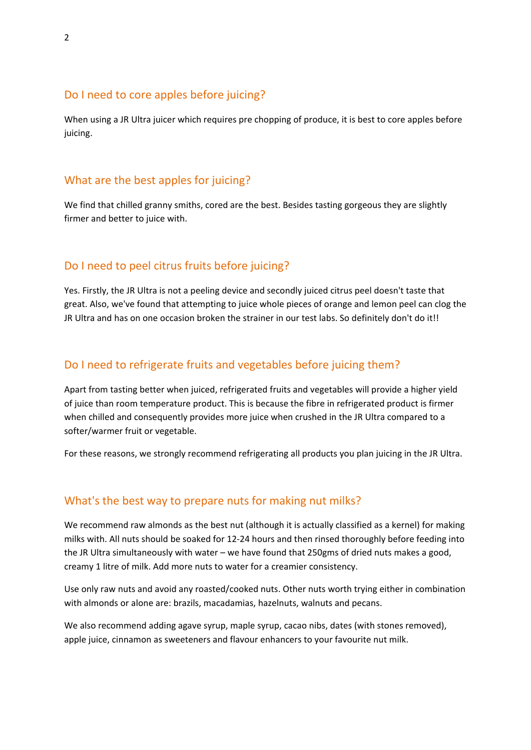#### Do I need to core apples before juicing?

When using a JR Ultra juicer which requires pre chopping of produce, it is best to core apples before juicing.

### What are the best apples for juicing?

We find that chilled granny smiths, cored are the best. Besides tasting gorgeous they are slightly firmer and better to juice with.

## Do I need to peel citrus fruits before juicing?

Yes. Firstly, the JR Ultra is not a peeling device and secondly juiced citrus peel doesn't taste that great. Also, we've found that attempting to juice whole pieces of orange and lemon peel can clog the JR Ultra and has on one occasion broken the strainer in our test labs. So definitely don't do it!!

### Do I need to refrigerate fruits and vegetables before juicing them?

Apart from tasting better when juiced, refrigerated fruits and vegetables will provide a higher yield of juice than room temperature product. This is because the fibre in refrigerated product is firmer when chilled and consequently provides more juice when crushed in the JR Ultra compared to a softer/warmer fruit or vegetable.

For these reasons, we strongly recommend refrigerating all products you plan juicing in the JR Ultra.

#### What's the best way to prepare nuts for making nut milks?

We recommend raw almonds as the best nut (although it is actually classified as a kernel) for making milks with. All nuts should be soaked for 12-24 hours and then rinsed thoroughly before feeding into the JR Ultra simultaneously with water – we have found that 250gms of dried nuts makes a good, creamy 1 litre of milk. Add more nuts to water for a creamier consistency.

Use only raw nuts and avoid any roasted/cooked nuts. Other nuts worth trying either in combination with almonds or alone are: brazils, macadamias, hazelnuts, walnuts and pecans.

We also recommend adding agave syrup, maple syrup, cacao nibs, dates (with stones removed), apple juice, cinnamon as sweeteners and flavour enhancers to your favourite nut milk.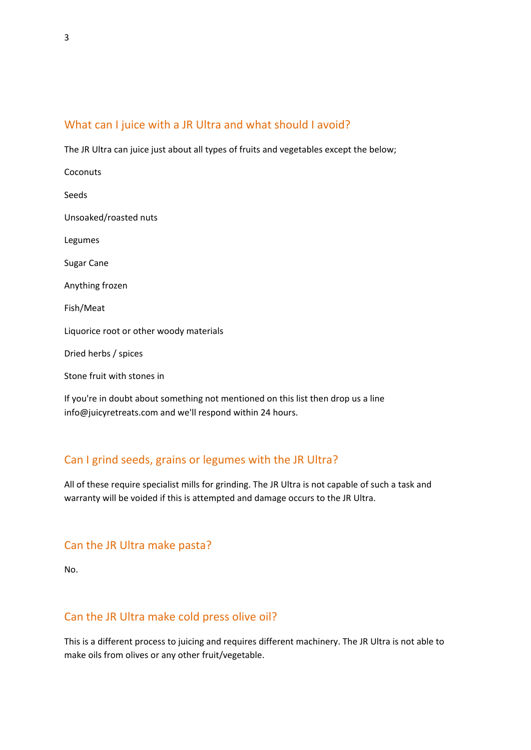## What can I juice with a JR Ultra and what should I avoid?

The JR Ultra can juice just about all types of fruits and vegetables except the below;

| Coconuts                                                                          |
|-----------------------------------------------------------------------------------|
| Seeds                                                                             |
| Unsoaked/roasted nuts                                                             |
| Legumes                                                                           |
| <b>Sugar Cane</b>                                                                 |
| Anything frozen                                                                   |
| Fish/Meat                                                                         |
| Liquorice root or other woody materials                                           |
| Dried herbs / spices                                                              |
| Stone fruit with stones in                                                        |
| If you're in doubt about something not mentioned on this list then drop us a line |

info@juicyretreats.com and we'll respond within 24 hours.

## Can I grind seeds, grains or legumes with the JR Ultra?

All of these require specialist mills for grinding. The JR Ultra is not capable of such a task and warranty will be voided if this is attempted and damage occurs to the JR Ultra.

## Can the JR Ultra make pasta?

No.

## Can the JR Ultra make cold press olive oil?

This is a different process to juicing and requires different machinery. The JR Ultra is not able to make oils from olives or any other fruit/vegetable.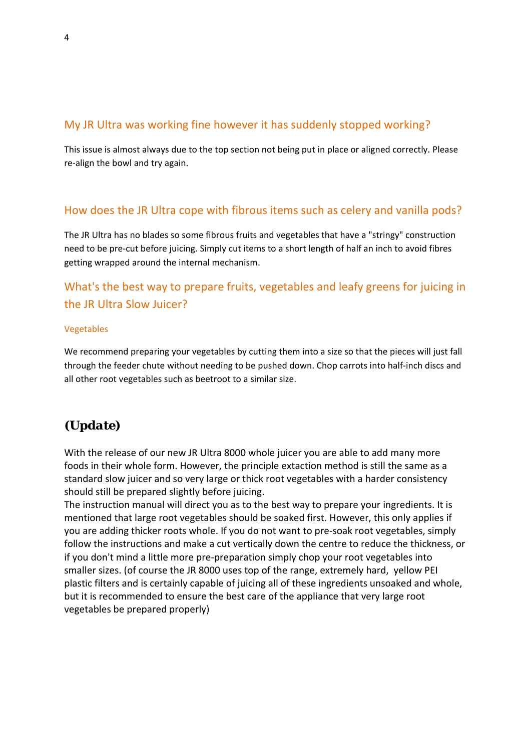## My JR Ultra was working fine however it has suddenly stopped working?

This issue is almost always due to the top section not being put in place or aligned correctly. Please re-align the bowl and try again.

## How does the JR Ultra cope with fibrous items such as celery and vanilla pods?

The JR Ultra has no blades so some fibrous fruits and vegetables that have a "stringy" construction need to be pre-cut before juicing. Simply cut items to a short length of half an inch to avoid fibres getting wrapped around the internal mechanism.

## What's the best way to prepare fruits, vegetables and leafy greens for juicing in the JR Ultra Slow Juicer?

#### Vegetables

We recommend preparing your vegetables by cutting them into a size so that the pieces will just fall through the feeder chute without needing to be pushed down. Chop carrots into half-inch discs and all other root vegetables such as beetroot to a similar size.

## *(Update)*

With the release of our new JR Ultra 8000 whole juicer you are able to add many more foods in their whole form. However, the principle extaction method is still the same as a standard slow juicer and so very large or thick root vegetables with a harder consistency should still be prepared slightly before juicing.

The instruction manual will direct you as to the best way to prepare your ingredients. It is mentioned that large root vegetables should be soaked first. However, this only applies if you are adding thicker roots whole. If you do not want to pre-soak root vegetables, simply follow the instructions and make a cut vertically down the centre to reduce the thickness, or if you don't mind a little more pre-preparation simply chop your root vegetables into smaller sizes. (of course the JR 8000 uses top of the range, extremely hard, yellow PEI plastic filters and is certainly capable of juicing all of these ingredients unsoaked and whole, but it is recommended to ensure the best care of the appliance that very large root vegetables be prepared properly)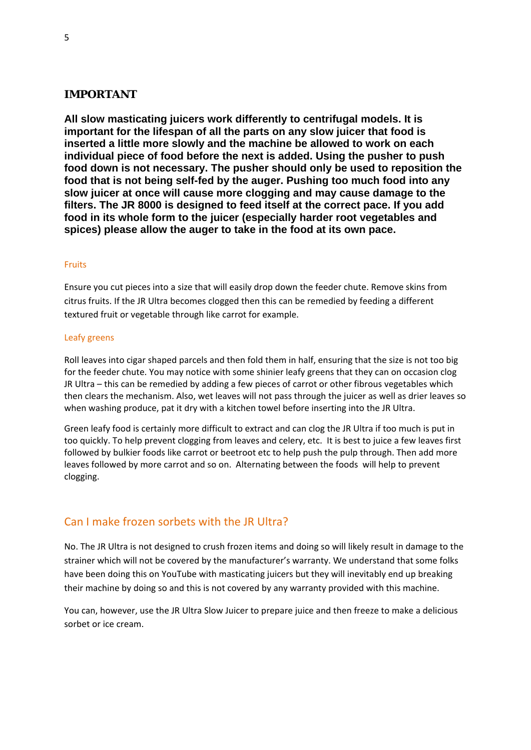#### **IMPORTANT**

**All slow masticating juicers work differently to centrifugal models. It is important for the lifespan of all the parts on any slow juicer that food is inserted a little more slowly and the machine be allowed to work on each individual piece of food before the next is added. Using the pusher to push food down is not necessary. The pusher should only be used to reposition the food that is not being self-fed by the auger. Pushing too much food into any slow juicer at once will cause more clogging and may cause damage to the filters. The JR 8000 is designed to feed itself at the correct pace. If you add food in its whole form to the juicer (especially harder root vegetables and spices) please allow the auger to take in the food at its own pace.**

#### Fruits

Ensure you cut pieces into a size that will easily drop down the feeder chute. Remove skins from citrus fruits. If the JR Ultra becomes clogged then this can be remedied by feeding a different textured fruit or vegetable through like carrot for example.

#### Leafy greens

Roll leaves into cigar shaped parcels and then fold them in half, ensuring that the size is not too big for the feeder chute. You may notice with some shinier leafy greens that they can on occasion clog JR Ultra – this can be remedied by adding a few pieces of carrot or other fibrous vegetables which then clears the mechanism. Also, wet leaves will not pass through the juicer as well as drier leaves so when washing produce, pat it dry with a kitchen towel before inserting into the JR Ultra.

Green leafy food is certainly more difficult to extract and can clog the JR Ultra if too much is put in too quickly. To help prevent clogging from leaves and celery, etc. It is best to juice a few leaves first followed by bulkier foods like carrot or beetroot etc to help push the pulp through. Then add more leaves followed by more carrot and so on. Alternating between the foods will help to prevent clogging.

### Can I make frozen sorbets with the JR Ultra?

No. The JR Ultra is not designed to crush frozen items and doing so will likely result in damage to the strainer which will not be covered by the manufacturer's warranty. We understand that some folks have been doing this on YouTube with masticating juicers but they will inevitably end up breaking their machine by doing so and this is not covered by any warranty provided with this machine.

You can, however, use the JR Ultra Slow Juicer to prepare juice and then freeze to make a delicious sorbet or ice cream.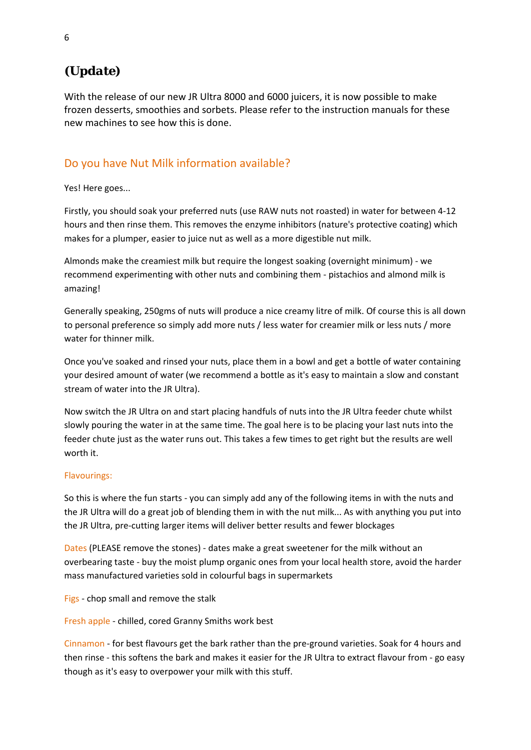# *(Update)*

With the release of our new JR Ultra 8000 and 6000 juicers, it is now possible to make frozen desserts, smoothies and sorbets. Please refer to the instruction manuals for these new machines to see how this is done.

## Do you have Nut Milk information available?

Yes! Here goes...

Firstly, you should soak your preferred nuts (use RAW nuts not roasted) in water for between 4-12 hours and then rinse them. This removes the enzyme inhibitors (nature's protective coating) which makes for a plumper, easier to juice nut as well as a more digestible nut milk.

Almonds make the creamiest milk but require the longest soaking (overnight minimum) - we recommend experimenting with other nuts and combining them - pistachios and almond milk is amazing!

Generally speaking, 250gms of nuts will produce a nice creamy litre of milk. Of course this is all down to personal preference so simply add more nuts / less water for creamier milk or less nuts / more water for thinner milk.

Once you've soaked and rinsed your nuts, place them in a bowl and get a bottle of water containing your desired amount of water (we recommend a bottle as it's easy to maintain a slow and constant stream of water into the JR Ultra).

Now switch the JR Ultra on and start placing handfuls of nuts into the JR Ultra feeder chute whilst slowly pouring the water in at the same time. The goal here is to be placing your last nuts into the feeder chute just as the water runs out. This takes a few times to get right but the results are well worth it.

### Flavourings:

So this is where the fun starts - you can simply add any of the following items in with the nuts and the JR Ultra will do a great job of blending them in with the nut milk... As with anything you put into the JR Ultra, pre-cutting larger items will deliver better results and fewer blockages

Dates (PLEASE remove the stones) - dates make a great sweetener for the milk without an overbearing taste - buy the moist plump organic ones from your local health store, avoid the harder mass manufactured varieties sold in colourful bags in supermarkets

Figs - chop small and remove the stalk

Fresh apple - chilled, cored Granny Smiths work best

Cinnamon - for best flavours get the bark rather than the pre-ground varieties. Soak for 4 hours and then rinse - this softens the bark and makes it easier for the JR Ultra to extract flavour from - go easy though as it's easy to overpower your milk with this stuff.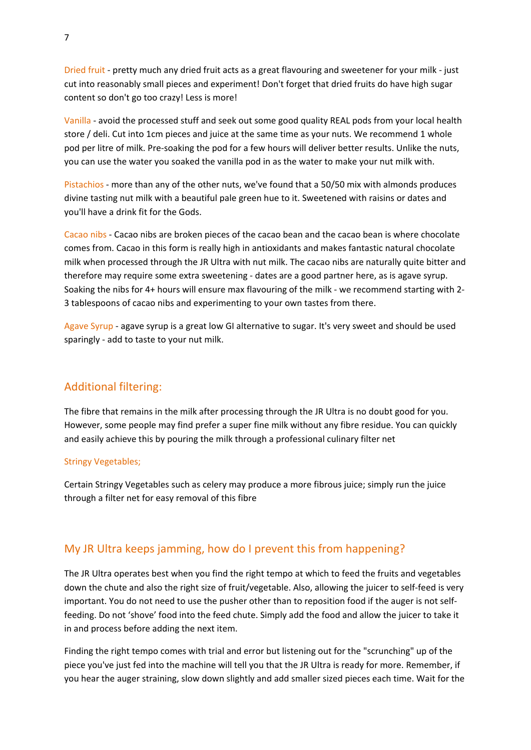Dried fruit - pretty much any dried fruit acts as a great flavouring and sweetener for your milk - just cut into reasonably small pieces and experiment! Don't forget that dried fruits do have high sugar content so don't go too crazy! Less is more!

Vanilla - avoid the processed stuff and seek out some good quality REAL pods from your local health store / deli. Cut into 1cm pieces and juice at the same time as your nuts. We recommend 1 whole pod per litre of milk. Pre-soaking the pod for a few hours will deliver better results. Unlike the nuts, you can use the water you soaked the vanilla pod in as the water to make your nut milk with.

Pistachios - more than any of the other nuts, we've found that a 50/50 mix with almonds produces divine tasting nut milk with a beautiful pale green hue to it. Sweetened with raisins or dates and you'll have a drink fit for the Gods.

Cacao nibs - Cacao nibs are broken pieces of the cacao bean and the cacao bean is where chocolate comes from. Cacao in this form is really high in antioxidants and makes fantastic natural chocolate milk when processed through the JR Ultra with nut milk. The cacao nibs are naturally quite bitter and therefore may require some extra sweetening - dates are a good partner here, as is agave syrup. Soaking the nibs for 4+ hours will ensure max flavouring of the milk - we recommend starting with 2- 3 tablespoons of cacao nibs and experimenting to your own tastes from there.

Agave Syrup - agave syrup is a great low GI alternative to sugar. It's very sweet and should be used sparingly - add to taste to your nut milk.

### Additional filtering:

The fibre that remains in the milk after processing through the JR Ultra is no doubt good for you. However, some people may find prefer a super fine milk without any fibre residue. You can quickly and easily achieve this by pouring the milk through a professional culinary filter net

#### Stringy Vegetables;

Certain Stringy Vegetables such as celery may produce a more fibrous juice; simply run the juice through a filter net for easy removal of this fibre

### My JR Ultra keeps jamming, how do I prevent this from happening?

The JR Ultra operates best when you find the right tempo at which to feed the fruits and vegetables down the chute and also the right size of fruit/vegetable. Also, allowing the juicer to self-feed is very important. You do not need to use the pusher other than to reposition food if the auger is not selffeeding. Do not 'shove' food into the feed chute. Simply add the food and allow the juicer to take it in and process before adding the next item.

Finding the right tempo comes with trial and error but listening out for the "scrunching" up of the piece you've just fed into the machine will tell you that the JR Ultra is ready for more. Remember, if you hear the auger straining, slow down slightly and add smaller sized pieces each time. Wait for the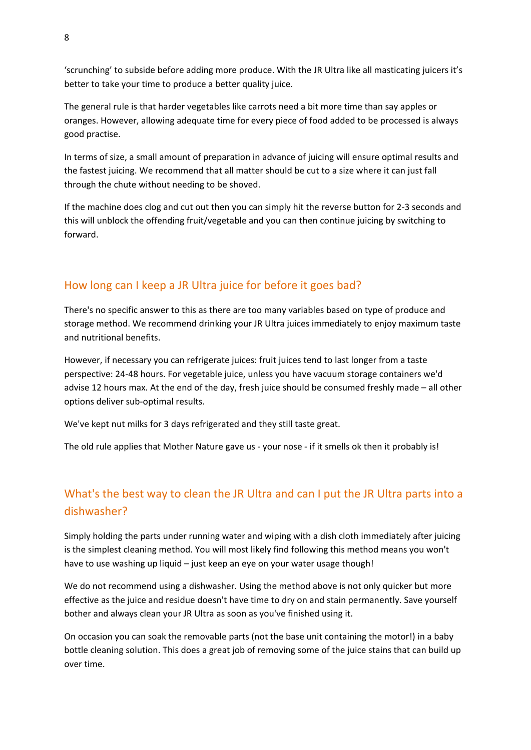'scrunching' to subside before adding more produce. With the JR Ultra like all masticating juicers it's better to take your time to produce a better quality juice.

The general rule is that harder vegetables like carrots need a bit more time than say apples or oranges. However, allowing adequate time for every piece of food added to be processed is always good practise.

In terms of size, a small amount of preparation in advance of juicing will ensure optimal results and the fastest juicing. We recommend that all matter should be cut to a size where it can just fall through the chute without needing to be shoved.

If the machine does clog and cut out then you can simply hit the reverse button for 2-3 seconds and this will unblock the offending fruit/vegetable and you can then continue juicing by switching to forward.

## How long can I keep a JR Ultra juice for before it goes bad?

There's no specific answer to this as there are too many variables based on type of produce and storage method. We recommend drinking your JR Ultra juices immediately to enjoy maximum taste and nutritional benefits.

However, if necessary you can refrigerate juices: fruit juices tend to last longer from a taste perspective: 24-48 hours. For vegetable juice, unless you have vacuum storage containers we'd advise 12 hours max. At the end of the day, fresh juice should be consumed freshly made – all other options deliver sub-optimal results.

We've kept nut milks for 3 days refrigerated and they still taste great.

The old rule applies that Mother Nature gave us - your nose - if it smells ok then it probably is!

# What's the best way to clean the JR Ultra and can I put the JR Ultra parts into a dishwasher?

Simply holding the parts under running water and wiping with a dish cloth immediately after juicing is the simplest cleaning method. You will most likely find following this method means you won't have to use washing up liquid – just keep an eye on your water usage though!

We do not recommend using a dishwasher. Using the method above is not only quicker but more effective as the juice and residue doesn't have time to dry on and stain permanently. Save yourself bother and always clean your JR Ultra as soon as you've finished using it.

On occasion you can soak the removable parts (not the base unit containing the motor!) in a baby bottle cleaning solution. This does a great job of removing some of the juice stains that can build up over time.